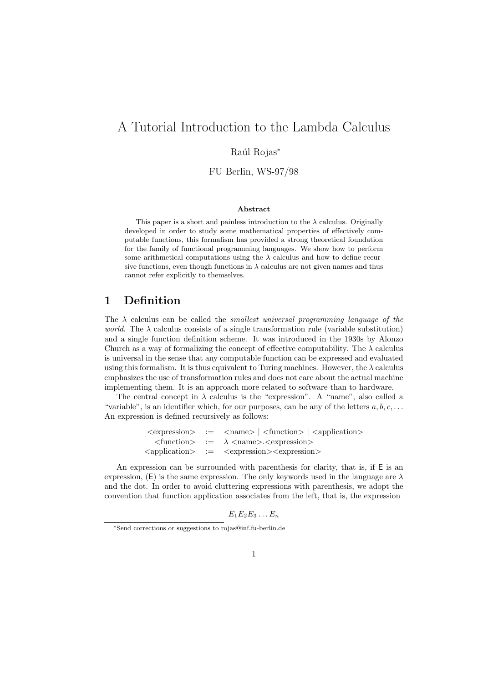# A Tutorial Introduction to the Lambda Calculus

### Raúl Rojas<sup>\*</sup>

FU Berlin, WS-97/98

#### Abstract

This paper is a short and painless introduction to the  $\lambda$  calculus. Originally developed in order to study some mathematical properties of effectively computable functions, this formalism has provided a strong theoretical foundation for the family of functional programming languages. We show how to perform some arithmetical computations using the  $\lambda$  calculus and how to define recursive functions, even though functions in  $\lambda$  calculus are not given names and thus cannot refer explicitly to themselves.

# 1 Definition

The  $\lambda$  calculus can be called the *smallest universal programming language of the* world. The  $\lambda$  calculus consists of a single transformation rule (variable substitution) and a single function definition scheme. It was introduced in the 1930s by Alonzo Church as a way of formalizing the concept of effective computability. The  $\lambda$  calculus is universal in the sense that any computable function can be expressed and evaluated using this formalism. It is thus equivalent to Turing machines. However, the  $\lambda$  calculus emphasizes the use of transformation rules and does not care about the actual machine implementing them. It is an approach more related to software than to hardware.

The central concept in  $\lambda$  calculus is the "expression". A "name", also called a "variable", is an identifier which, for our purposes, can be any of the letters  $a, b, c, \ldots$ An expression is defined recursively as follows:

> $\langle$  expression $\rangle$  :=  $\langle$  name $\rangle$  |  $\langle$  function $\rangle$  |  $\langle$  application $\rangle$  $\langle$  function > :=  $\lambda$  <name>. $\langle$  expression > <application> := <expression><expression>

An expression can be surrounded with parenthesis for clarity, that is, if E is an expression, (E) is the same expression. The only keywords used in the language are  $\lambda$ and the dot. In order to avoid cluttering expressions with parenthesis, we adopt the convention that function application associates from the left, that is, the expression

 $E_1E_2E_3\ldots E_n$ 

<sup>∗</sup>Send corrections or suggestions to rojas@inf.fu-berlin.de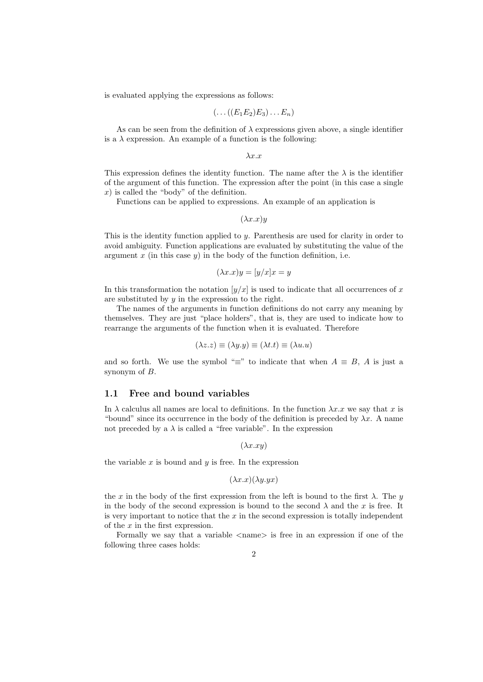is evaluated applying the expressions as follows:

$$
(\ldots ((E_1E_2)E_3)\ldots E_n)
$$

As can be seen from the definition of  $\lambda$  expressions given above, a single identifier is a  $\lambda$  expression. An example of a function is the following:

 $\lambda x.x$ 

This expression defines the identity function. The name after the  $\lambda$  is the identifier of the argument of this function. The expression after the point (in this case a single  $x$ ) is called the "body" of the definition.

Functions can be applied to expressions. An example of an application is

 $(\lambda x.x)y$ 

This is the identity function applied to  $y$ . Parenthesis are used for clarity in order to avoid ambiguity. Function applications are evaluated by substituting the value of the argument  $x$  (in this case  $y$ ) in the body of the function definition, i.e.

$$
(\lambda x.x)y = [y/x]x = y
$$

In this transformation the notation  $[y/x]$  is used to indicate that all occurrences of x are substituted by  $y$  in the expression to the right.

The names of the arguments in function definitions do not carry any meaning by themselves. They are just "place holders", that is, they are used to indicate how to rearrange the arguments of the function when it is evaluated. Therefore

$$
(\lambda z. z) \equiv (\lambda y. y) \equiv (\lambda t. t) \equiv (\lambda u. u)
$$

and so forth. We use the symbol " $\equiv$ " to indicate that when  $A \equiv B$ , A is just a synonym of B.

### 1.1 Free and bound variables

In  $\lambda$  calculus all names are local to definitions. In the function  $\lambda x.x$  we say that x is "bound" since its occurrence in the body of the definition is preceded by  $\lambda x$ . A name not preceded by a  $\lambda$  is called a "free variable". In the expression

 $(\lambda x . x y)$ 

the variable  $x$  is bound and  $y$  is free. In the expression

$$
(\lambda x.x)(\lambda y.yx)
$$

the x in the body of the first expression from the left is bound to the first  $\lambda$ . The y in the body of the second expression is bound to the second  $\lambda$  and the x is free. It is very important to notice that the  $x$  in the second expression is totally independent of the  $x$  in the first expression.

Formally we say that a variable  $\langle$ name $\rangle$  is free in an expression if one of the following three cases holds: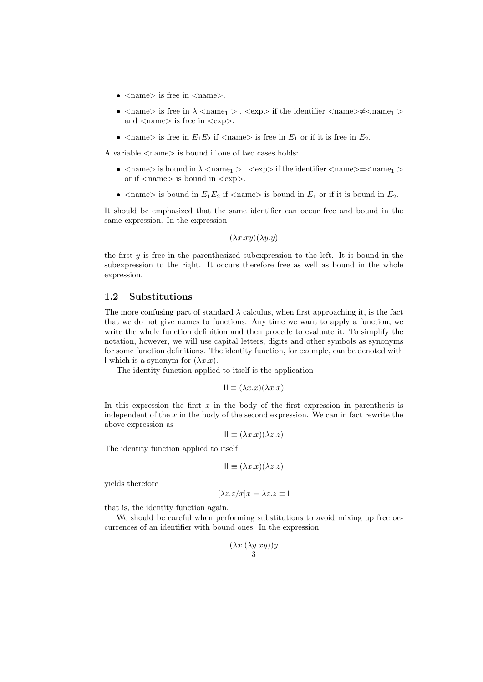- $\langle$  name $\rangle$  is free in  $\langle$  name $\rangle$ .
- $\langle$  name is free in  $\lambda$   $\langle$  name<sub>1</sub>  $\rangle$ .  $\langle$  exp  $\rangle$  if the identifier  $\langle$  name $\rangle \neq \langle$  name<sub>1</sub>  $\rangle$ and  $\langle$  name $\rangle$  is free in  $\langle$ exp $\rangle$ .
- $\langle$  name  $\rangle$  is free in  $E_1E_2$  if  $\langle$  name  $\rangle$  is free in  $E_1$  or if it is free in  $E_2$ .

A variable <name> is bound if one of two cases holds:

- $\langle$  name  $\rangle$  is bound in  $\lambda$   $\langle$  name<sub>1</sub>  $\rangle$ .  $\langle$  exp  $\rangle$  if the identifier  $\langle$  name  $\rangle$  =  $\langle$  name<sub>1</sub>  $\rangle$ or if  $\langle$  name $\rangle$  is bound in  $\langle$ exp $\rangle$ .
- $\langle$  name is bound in  $E_1E_2$  if  $\langle$  name is bound in  $E_1$  or if it is bound in  $E_2$ .

It should be emphasized that the same identifier can occur free and bound in the same expression. In the expression

$$
(\lambda x. xy)(\lambda y. y)
$$

the first  $y$  is free in the parenthesized subexpression to the left. It is bound in the subexpression to the right. It occurs therefore free as well as bound in the whole expression.

### 1.2 Substitutions

The more confusing part of standard  $\lambda$  calculus, when first approaching it, is the fact that we do not give names to functions. Any time we want to apply a function, we write the whole function definition and then procede to evaluate it. To simplify the notation, however, we will use capital letters, digits and other symbols as synonyms for some function definitions. The identity function, for example, can be denoted with I which is a synonym for  $(\lambda x.x)$ .

The identity function applied to itself is the application

$$
II \equiv (\lambda x.x)(\lambda x.x)
$$

In this expression the first  $x$  in the body of the first expression in parenthesis is independent of the  $x$  in the body of the second expression. We can in fact rewrite the above expression as

$$
\mathsf{II} \equiv (\lambda x.x)(\lambda z.z)
$$

The identity function applied to itself

$$
II \equiv (\lambda x.x)(\lambda z.z)
$$

yields therefore

$$
\lambda z.z/x | x = \lambda z.z \equiv 1
$$

that is, the identity function again.

We should be careful when performing substitutions to avoid mixing up free occurrences of an identifier with bound ones. In the expression

$$
\frac{(\lambda x.(\lambda y. xy))y}{3}
$$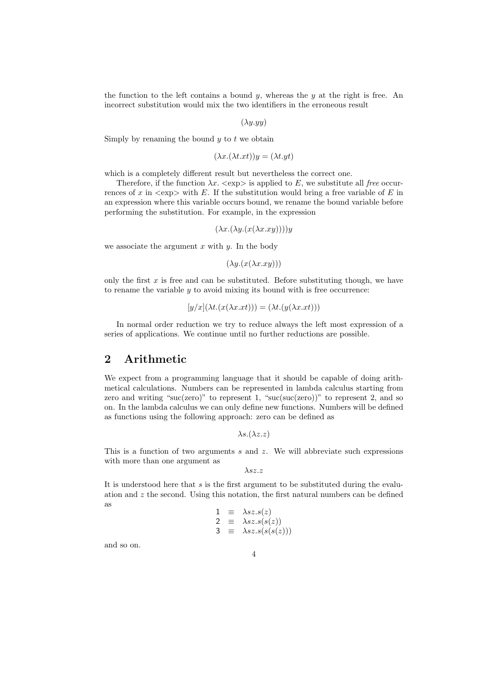the function to the left contains a bound y, whereas the y at the right is free. An incorrect substitution would mix the two identifiers in the erroneous result

 $(\lambda u. u u)$ 

Simply by renaming the bound  $y$  to  $t$  we obtain

$$
(\lambda x.(\lambda t.xt))y = (\lambda t.yt)
$$

which is a completely different result but nevertheless the correct one.

Therefore, if the function  $\lambda x \cdot \langle \text{exp} \rangle$  is applied to E, we substitute all free occurrences of x in  $\langle \text{exp} \rangle$  with E. If the substitution would bring a free variable of E in an expression where this variable occurs bound, we rename the bound variable before performing the substitution. For example, in the expression

$$
(\lambda x.(\lambda y.(x(\lambda x.xy))))y
$$

we associate the argument  $x$  with  $y$ . In the body

 $(\lambda y.(x(\lambda x.xy)))$ 

only the first  $x$  is free and can be substituted. Before substituting though, we have to rename the variable  $y$  to avoid mixing its bound with is free occurrence:

$$
[y/x](\lambda t.(x(\lambda x.xt))) = (\lambda t.(y(\lambda x.xt)))
$$

In normal order reduction we try to reduce always the left most expression of a series of applications. We continue until no further reductions are possible.

# 2 Arithmetic

We expect from a programming language that it should be capable of doing arithmetical calculations. Numbers can be represented in lambda calculus starting from zero and writing "suc(zero)" to represent 1, "suc(suc(zero))" to represent 2, and so on. In the lambda calculus we can only define new functions. Numbers will be defined as functions using the following approach: zero can be defined as

 $\lambda s.(\lambda z.z)$ 

This is a function of two arguments  $s$  and  $z$ . We will abbreviate such expressions with more than one argument as

 $\lambda$ sz.z

It is understood here that  $s$  is the first argument to be substituted during the evaluation and  $z$  the second. Using this notation, the first natural numbers can be defined as

$$
\begin{array}{rcl} 1 & \equiv & \lambda sz.s(z) \\ 2 & \equiv & \lambda sz.s(s(z)) \\ 3 & \equiv & \lambda sz.s(s(s(z))) \end{array}
$$

and so on.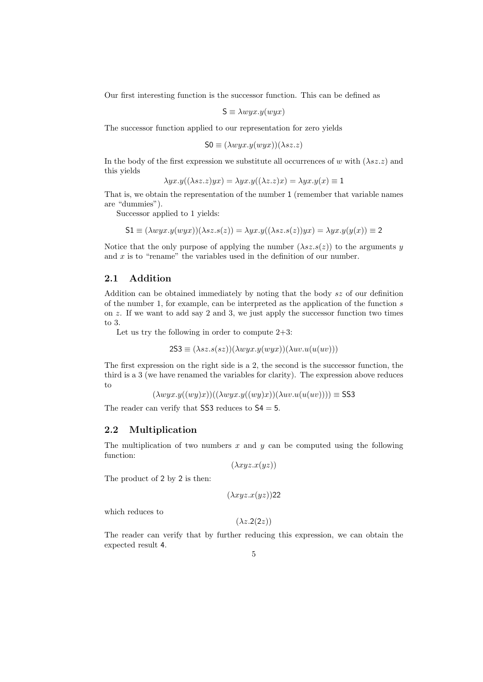Our first interesting function is the successor function. This can be defined as

$$
S \equiv \lambda wyx.y(wyx)
$$

The successor function applied to our representation for zero yields

$$
S0 \equiv (\lambda wyx.y(wyx))(\lambda sz.z)
$$

In the body of the first expression we substitute all occurrences of w with  $(\lambda sz.z)$  and this yields

$$
\lambda yx.y((\lambda sz.z)yx) = \lambda yx.y((\lambda z.z)x) = \lambda yx.y(x) \equiv 1
$$

That is, we obtain the representation of the number 1 (remember that variable names are "dummies").

Successor applied to 1 yields:

$$
51 \equiv (\lambda wyx.y(wyx))(\lambda sz.s(z)) = \lambda yx.y((\lambda sz.s(z))yx) = \lambda yx.y(y(x)) \equiv 2
$$

Notice that the only purpose of applying the number  $(\lambda sz.s(z))$  to the arguments y and  $x$  is to "rename" the variables used in the definition of our number.

### 2.1 Addition

Addition can be obtained immediately by noting that the body sz of our definition of the number 1, for example, can be interpreted as the application of the function s on z. If we want to add say 2 and 3, we just apply the successor function two times to 3.

Let us try the following in order to compute  $2+3$ :

$$
2S3 \equiv (\lambda sz.s(sz))(\lambda wyx.y(wyx))(\lambda uv.u(u(uv)))
$$

The first expression on the right side is a 2, the second is the successor function, the third is a 3 (we have renamed the variables for clarity). The expression above reduces to

 $(\lambda wyx.y((wy)x))((\lambda wyx.y((wy)x))(\lambda uv.u(u(uv)))) \equiv$  SS3

The reader can verify that  $SS3$  reduces to  $S4 = 5$ .

### 2.2 Multiplication

The multiplication of two numbers  $x$  and  $y$  can be computed using the following function:

 $(\lambda xyz.x(yz))$ 

The product of 2 by 2 is then:

$$
(\lambda xyz.x(yz))22
$$

which reduces to

 $(\lambda z.2(2z))$ 

The reader can verify that by further reducing this expression, we can obtain the expected result 4.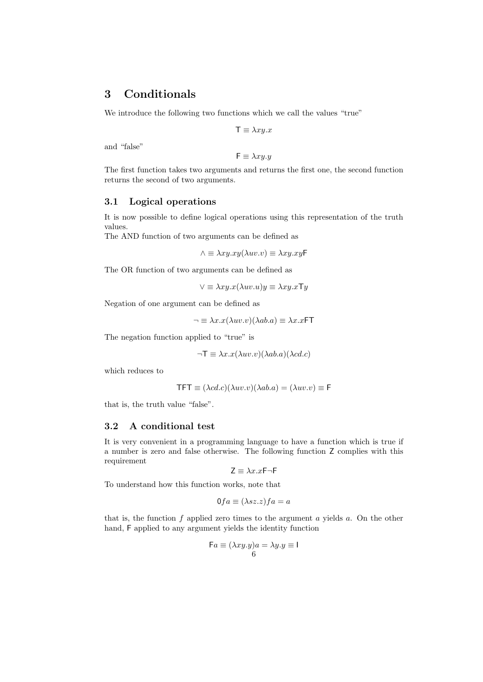# 3 Conditionals

We introduce the following two functions which we call the values "true"

$$
\mathsf{T} \equiv \lambda xy.x
$$

and "false"

$$
\mathsf{F} \equiv \lambda x y. y
$$

The first function takes two arguments and returns the first one, the second function returns the second of two arguments.

### 3.1 Logical operations

It is now possible to define logical operations using this representation of the truth values.

The AND function of two arguments can be defined as

 $\wedge \equiv \lambda xy.xy(\lambda uv.v) \equiv \lambda xy.xy$ F

The OR function of two arguments can be defined as

 $\vee \equiv \lambda xy.x(\lambda uv.u)y \equiv \lambda xy.x \top y$ 

Negation of one argument can be defined as

 $\neg \equiv \lambda x.x(\lambda uv.v)(\lambda ab.a) \equiv \lambda x.xFT$ 

The negation function applied to "true" is

$$
\neg T \equiv \lambda x. x(\lambda uv. v)(\lambda ab. a)(\lambda cd. c)
$$

which reduces to

$$
TFT \equiv (\lambda cd.c)(\lambda uv.v)(\lambda ab.a) = (\lambda uv.v) \equiv F
$$

that is, the truth value "false".

### 3.2 A conditional test

It is very convenient in a programming language to have a function which is true if a number is zero and false otherwise. The following function Z complies with this requirement

 $Z \equiv \lambda x.xF\neg F$ 

To understand how this function works, note that

$$
0fa \equiv (\lambda sz.z)f a = a
$$

that is, the function  $f$  applied zero times to the argument  $a$  yields  $a$ . On the other hand, F applied to any argument yields the identity function

$$
\mathsf{F}a \equiv (\lambda xy.y)a = \lambda y.y \equiv 1
$$
6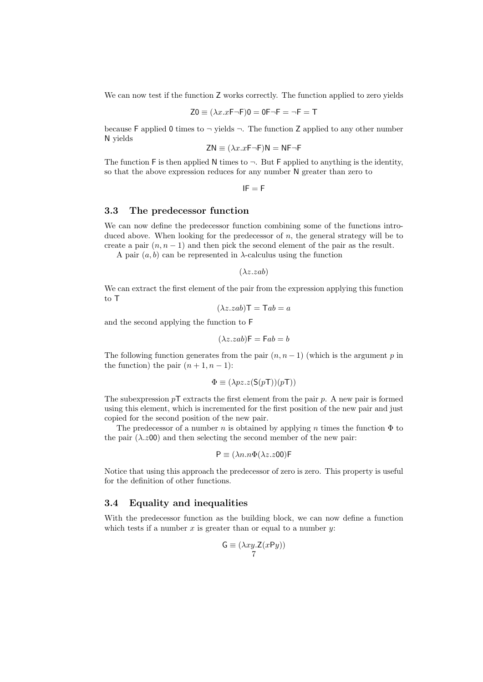We can now test if the function  $Z$  works correctly. The function applied to zero yields

$$
Z0 \equiv (\lambda x.xF\neg F)0 = 0F\neg F = \neg F = T
$$

because F applied 0 times to  $\neg$  yields  $\neg$ . The function Z applied to any other number N yields

$$
ZN \equiv (\lambda x. xF\neg F)N = NF\neg F
$$

The function F is then applied N times to  $\neg$ . But F applied to anything is the identity, so that the above expression reduces for any number N greater than zero to

 $IF = F$ 

### 3.3 The predecessor function

We can now define the predecessor function combining some of the functions introduced above. When looking for the predecessor of  $n$ , the general strategy will be to create a pair  $(n, n - 1)$  and then pick the second element of the pair as the result.

A pair  $(a, b)$  can be represented in  $\lambda$ -calculus using the function

 $(\lambda z. zab)$ 

We can extract the first element of the pair from the expression applying this function to T

$$
(\lambda z. zab)\mathsf{T} = \mathsf{T}ab = a
$$

and the second applying the function to F

$$
(\lambda z. zab)\mathsf{F} = \mathsf{F}ab = b
$$

The following function generates from the pair  $(n, n-1)$  (which is the argument p in the function) the pair  $(n+1, n-1)$ :

$$
\Phi \equiv (\lambda pz. z (S(pT))(pT))
$$

The subexpression  $p\mathsf{T}$  extracts the first element from the pair p. A new pair is formed using this element, which is incremented for the first position of the new pair and just copied for the second position of the new pair.

The predecessor of a number n is obtained by applying n times the function  $\Phi$  to the pair  $(\lambda z_{00})$  and then selecting the second member of the new pair:

$$
P \equiv (\lambda n.n\Phi(\lambda z.z00)F
$$

Notice that using this approach the predecessor of zero is zero. This property is useful for the definition of other functions.

### 3.4 Equality and inequalities

With the predecessor function as the building block, we can now define a function which tests if a number  $x$  is greater than or equal to a number  $y$ :

$$
\mathsf{G}\equiv (\lambda xy. \mathsf{Z}(x \mathsf{P} y))\mathsf{Z}
$$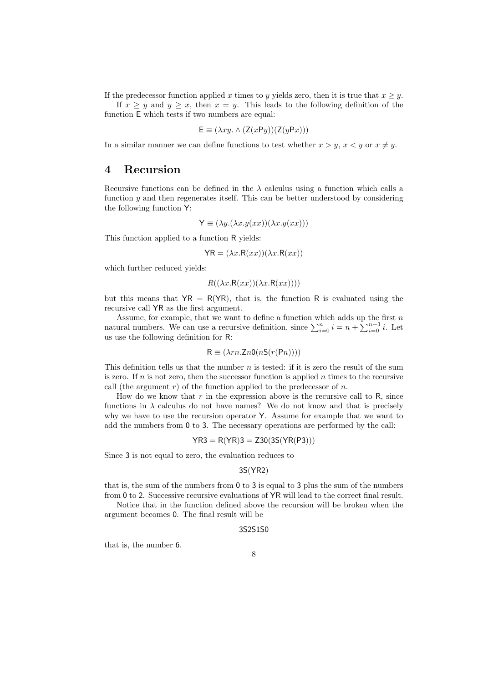If the predecessor function applied x times to y yields zero, then it is true that  $x \geq y$ .

If  $x \geq y$  and  $y \geq x$ , then  $x = y$ . This leads to the following definition of the function E which tests if two numbers are equal:

$$
\mathsf{E} \equiv (\lambda xy. \wedge (\mathsf{Z}(x \mathsf{P} y))(\mathsf{Z}(y \mathsf{P} x)))
$$

In a similar manner we can define functions to test whether  $x > y$ ,  $x < y$  or  $x \neq y$ .

### 4 Recursion

Recursive functions can be defined in the  $\lambda$  calculus using a function which calls a function y and then regenerates itself. This can be better understood by considering the following function Y:

$$
\mathsf{Y} \equiv (\lambda y.(\lambda x. y(xx))(\lambda x. y(xx)))
$$

This function applied to a function R yields:

$$
\mathsf{YR} = (\lambda x. \mathsf{R}(xx))(\lambda x. \mathsf{R}(xx))
$$

which further reduced yields:

$$
R((\lambda x.R(xx))(\lambda x.R(xx))))
$$

but this means that  $\overline{YR} = R(\overline{YR})$ , that is, the function R is evaluated using the recursive call YR as the first argument.

Assume, for example, that we want to define a function which adds up the first  $n$ natural numbers. We can use a recursive definition, since  $\sum_{i=0}^{n} i = n + \sum_{i=0}^{n-1} i$ . Let us use the following definition for R:

$$
R \equiv (\lambda r n \cdot Z n 0(nS(r(Pn))))
$$

This definition tells us that the number  $n$  is tested: if it is zero the result of the sum is zero. If  $n$  is not zero, then the successor function is applied  $n$  times to the recursive call (the argument  $r$ ) of the function applied to the predecessor of n.

How do we know that  $r$  in the expression above is the recursive call to  $R$ , since functions in  $\lambda$  calculus do not have names? We do not know and that is precisely why we have to use the recursion operator Y. Assume for example that we want to add the numbers from 0 to 3. The necessary operations are performed by the call:

$$
YR3 = R(YR)3 = Z30(3S(YR(P3)))
$$

Since 3 is not equal to zero, the evaluation reduces to

$$
3S(YR2)
$$

that is, the sum of the numbers from 0 to 3 is equal to 3 plus the sum of the numbers from 0 to 2. Successive recursive evaluations of YR will lead to the correct final result.

Notice that in the function defined above the recursion will be broken when the argument becomes 0. The final result will be

#### 3S2S1S0

that is, the number 6.